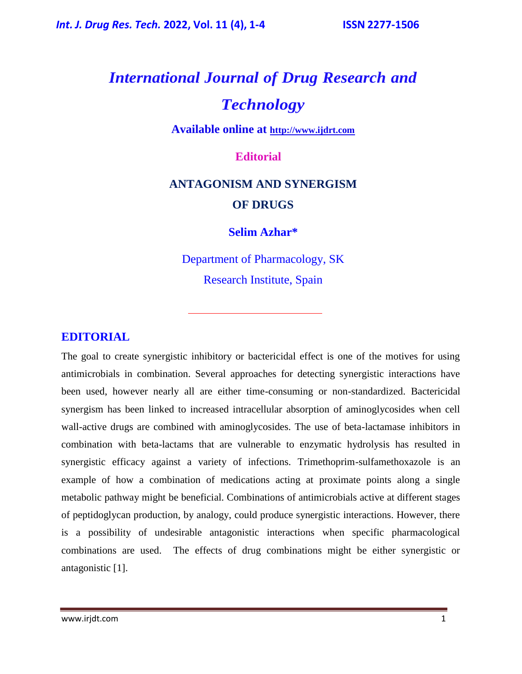# *International Journal of Drug Research and Technology*

**Available online at [http://www.ijdrt.com](http://www.ijdrt.com/)**

#### **Editorial**

## **ANTAGONISM AND SYNERGISM OF DRUGS**

#### **Selim Azhar\***

Department of Pharmacology, SK Research Institute, Spain

#### **EDITORIAL**

The goal to create synergistic inhibitory or bactericidal effect is one of the motives for using antimicrobials in combination. Several approaches for detecting synergistic interactions have been used, however nearly all are either time-consuming or non-standardized. Bactericidal synergism has been linked to increased intracellular absorption of aminoglycosides when cell wall-active drugs are combined with aminoglycosides. The use of beta-lactamase inhibitors in combination with beta-lactams that are vulnerable to enzymatic hydrolysis has resulted in synergistic efficacy against a variety of infections. Trimethoprim-sulfamethoxazole is an example of how a combination of medications acting at proximate points along a single metabolic pathway might be beneficial. Combinations of antimicrobials active at different stages of peptidoglycan production, by analogy, could produce synergistic interactions. However, there is a possibility of undesirable antagonistic interactions when specific pharmacological combinations are used. The effects of drug combinations might be either synergistic or antagonistic [1].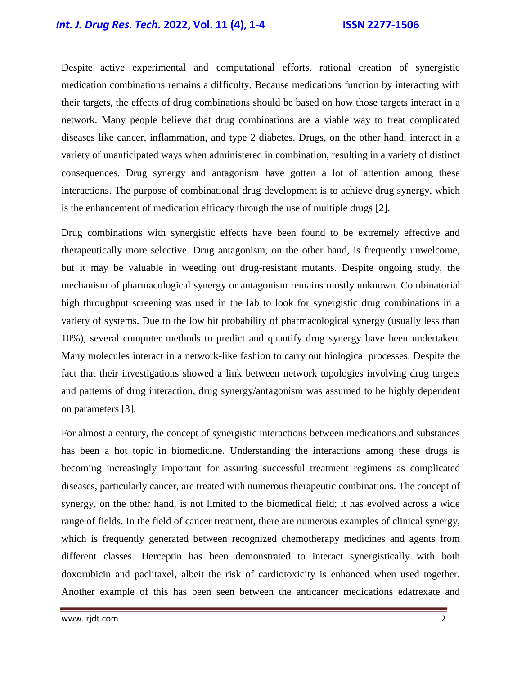### *Int. J. Drug Res. Tech.* **2022, Vol. 11 (4), 1-4 ISSN 2277-1506**

Despite active experimental and computational efforts, rational creation of synergistic medication combinations remains a difficulty. Because medications function by interacting with their targets, the effects of drug combinations should be based on how those targets interact in a network. Many people believe that drug combinations are a viable way to treat complicated diseases like cancer, inflammation, and type 2 diabetes. Drugs, on the other hand, interact in a variety of unanticipated ways when administered in combination, resulting in a variety of distinct consequences. Drug synergy and antagonism have gotten a lot of attention among these interactions. The purpose of combinational drug development is to achieve drug synergy, which is the enhancement of medication efficacy through the use of multiple drugs [2].

Drug combinations with synergistic effects have been found to be extremely effective and therapeutically more selective. Drug antagonism, on the other hand, is frequently unwelcome, but it may be valuable in weeding out drug-resistant mutants. Despite ongoing study, the mechanism of pharmacological synergy or antagonism remains mostly unknown. Combinatorial high throughput screening was used in the lab to look for synergistic drug combinations in a variety of systems. Due to the low hit probability of pharmacological synergy (usually less than 10%), several computer methods to predict and quantify drug synergy have been undertaken. Many molecules interact in a network-like fashion to carry out biological processes. Despite the fact that their investigations showed a link between network topologies involving drug targets and patterns of drug interaction, drug synergy/antagonism was assumed to be highly dependent on parameters [3].

For almost a century, the concept of synergistic interactions between medications and substances has been a hot topic in biomedicine. Understanding the interactions among these drugs is becoming increasingly important for assuring successful treatment regimens as complicated diseases, particularly cancer, are treated with numerous therapeutic combinations. The concept of synergy, on the other hand, is not limited to the biomedical field; it has evolved across a wide range of fields. In the field of cancer treatment, there are numerous examples of clinical synergy, which is frequently generated between recognized chemotherapy medicines and agents from different classes. Herceptin has been demonstrated to interact synergistically with both doxorubicin and paclitaxel, albeit the risk of cardiotoxicity is enhanced when used together. Another example of this has been seen between the anticancer medications edatrexate and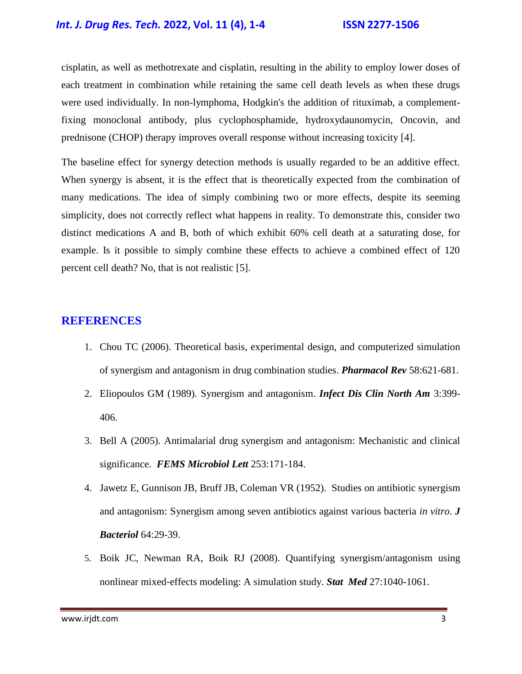#### *Int. J. Drug Res. Tech.* **2022, Vol. 11 (4), 1-4 ISSN 2277-1506**

cisplatin, as well as methotrexate and cisplatin, resulting in the ability to employ lower doses of each treatment in combination while retaining the same cell death levels as when these drugs were used individually. In non-lymphoma, Hodgkin's the addition of rituximab, a complementfixing monoclonal antibody, plus cyclophosphamide, hydroxydaunomycin, Oncovin, and prednisone (CHOP) therapy improves overall response without increasing toxicity [4].

The baseline effect for synergy detection methods is usually regarded to be an additive effect. When synergy is absent, it is the effect that is theoretically expected from the combination of many medications. The idea of simply combining two or more effects, despite its seeming simplicity, does not correctly reflect what happens in reality. To demonstrate this, consider two distinct medications A and B, both of which exhibit 60% cell death at a saturating dose, for example. Is it possible to simply combine these effects to achieve a combined effect of 120 percent cell death? No, that is not realistic [5].

#### **REFERENCES**

- 1. Chou TC (2006). [Theoretical basis, experimental design, and computerized simulation](https://pharmrev.aspetjournals.org/content/58/3/621.short)  [of synergism and antagonism in drug combination studies.](https://pharmrev.aspetjournals.org/content/58/3/621.short) *Pharmacol Rev* 58:621-681.
- 2. Eliopoulos GM (1989). [Synergism and antagonism.](https://www.sciencedirect.com/science/article/abs/pii/S0891552020302774) *Infect Dis Clin North Am* 3:399- 406.
- 3. Bell A (2005). [Antimalarial drug synergism and antagonism: Mechanistic and clinical](https://academic.oup.com/femsle/article/253/2/171/505498?login=true)  [significance.](https://academic.oup.com/femsle/article/253/2/171/505498?login=true) *FEMS Microbiol Lett* 253:171-184.
- 4. Jawetz E, Gunnison JB, Bruff JB, Coleman VR (1952). [Studies on antibiotic synergism](https://journals.asm.org/doi/pdf/10.1128/jb.64.1.29-39.1952)  [and antagonism: Synergism among seven antibiotics against various bacteria](https://journals.asm.org/doi/pdf/10.1128/jb.64.1.29-39.1952) *in vitro*. *J Bacteriol* 64:29-39.
- 5. Boik JC, Newman RA, Boik RJ (2008). [Quantifying synergism/antagonism using](https://onlinelibrary.wiley.com/doi/abs/10.1002/sim.3005)  nonlinear mixed‐[effects modeling: A simulation study.](https://onlinelibrary.wiley.com/doi/abs/10.1002/sim.3005) *Stat Med* 27:1040-1061.